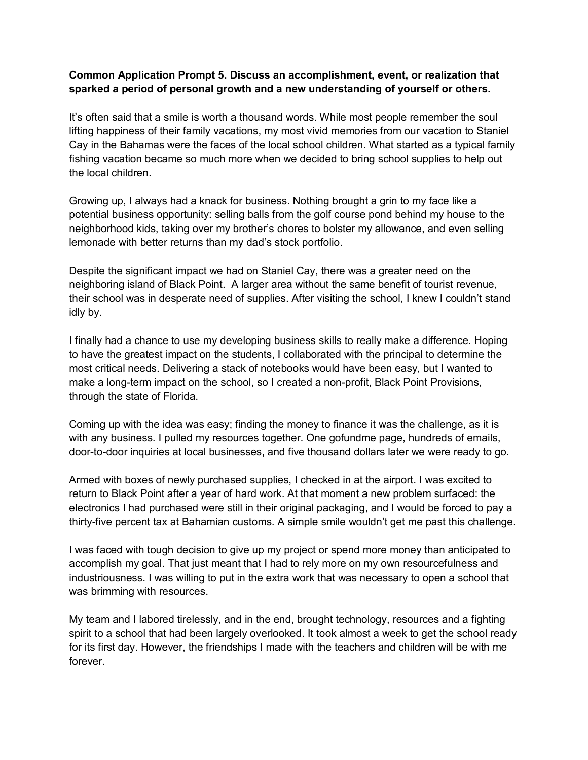## **Common Application Prompt 5. Discuss an accomplishment, event, or realization that sparked a period of personal growth and a new understanding of yourself or others.**

It's often said that a smile is worth a thousand words. While most people remember the soul lifting happiness of their family vacations, my most vivid memories from our vacation to Staniel Cay in the Bahamas were the faces of the local school children. What started as a typical family fishing vacation became so much more when we decided to bring school supplies to help out the local children.

Growing up, I always had a knack for business. Nothing brought a grin to my face like a potential business opportunity: selling balls from the golf course pond behind my house to the neighborhood kids, taking over my brother's chores to bolster my allowance, and even selling lemonade with better returns than my dad's stock portfolio.

Despite the significant impact we had on Staniel Cay, there was a greater need on the neighboring island of Black Point. A larger area without the same benefit of tourist revenue, their school was in desperate need of supplies. After visiting the school, I knew I couldn't stand idly by.

I finally had a chance to use my developing business skills to really make a difference. Hoping to have the greatest impact on the students, I collaborated with the principal to determine the most critical needs. Delivering a stack of notebooks would have been easy, but I wanted to make a long-term impact on the school, so I created a non-profit, Black Point Provisions, through the state of Florida.

Coming up with the idea was easy; finding the money to finance it was the challenge, as it is with any business. I pulled my resources together. One gofundme page, hundreds of emails, door-to-door inquiries at local businesses, and five thousand dollars later we were ready to go.

Armed with boxes of newly purchased supplies, I checked in at the airport. I was excited to return to Black Point after a year of hard work. At that moment a new problem surfaced: the electronics I had purchased were still in their original packaging, and I would be forced to pay a thirty-five percent tax at Bahamian customs. A simple smile wouldn't get me past this challenge.

I was faced with tough decision to give up my project or spend more money than anticipated to accomplish my goal. That just meant that I had to rely more on my own resourcefulness and industriousness. I was willing to put in the extra work that was necessary to open a school that was brimming with resources.

My team and I labored tirelessly, and in the end, brought technology, resources and a fighting spirit to a school that had been largely overlooked. It took almost a week to get the school ready for its first day. However, the friendships I made with the teachers and children will be with me forever.